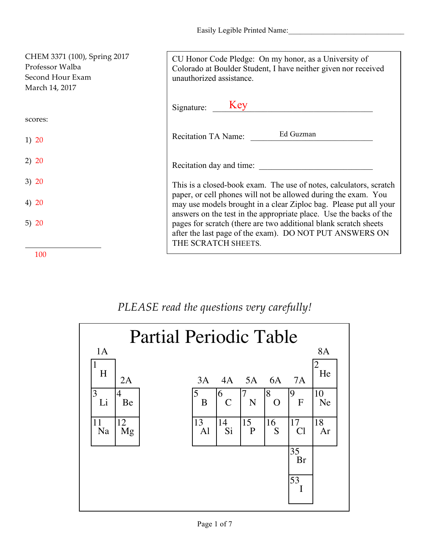Easily Legible Printed Name:

| CHEM 3371 (100), Spring 2017<br>Professor Walba<br>Second Hour Exam<br>March 14, 2017 | CU Honor Code Pledge: On my honor, as a University of<br>Colorado at Boulder Student, I have neither given nor received<br>unauthorized assistance.                                                                      |
|---------------------------------------------------------------------------------------|--------------------------------------------------------------------------------------------------------------------------------------------------------------------------------------------------------------------------|
|                                                                                       | Signature: Key                                                                                                                                                                                                           |
| scores:                                                                               |                                                                                                                                                                                                                          |
| 1) 20                                                                                 | Ed Guzman<br><b>Recitation TA Name:</b>                                                                                                                                                                                  |
| 2) 20                                                                                 | Recitation day and time:                                                                                                                                                                                                 |
| 3) 20                                                                                 | This is a closed-book exam. The use of notes, calculators, scratch                                                                                                                                                       |
| 4) 20                                                                                 | paper, or cell phones will not be allowed during the exam. You<br>may use models brought in a clear Ziploc bag. Please put all your                                                                                      |
| 5) $20$                                                                               | answers on the test in the appropriate place. Use the backs of the<br>pages for scratch (there are two additional blank scratch sheets<br>after the last page of the exam). DO NOT PUT ANSWERS ON<br>THE SCRATCH SHEETS. |
| 100                                                                                   |                                                                                                                                                                                                                          |

## *PLEASE read the questions very carefully!*

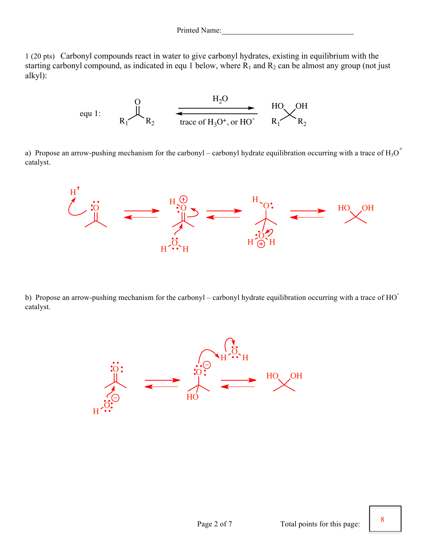1 (20 pts) Carbonyl compounds react in water to give carbonyl hydrates, existing in equilibrium with the starting carbonyl compound, as indicated in equ 1 below, where  $R_1$  and  $R_2$  can be almost any group (not just alkyl):



a) Propose an arrow-pushing mechanism for the carbonyl – carbonyl hydrate equilibration occurring with a trace of  $H_3O^+$ catalyst.



b) Propose an arrow-pushing mechanism for the carbonyl – carbonyl hydrate equilibration occurring with a trace of HO<sup>-</sup> catalyst.



8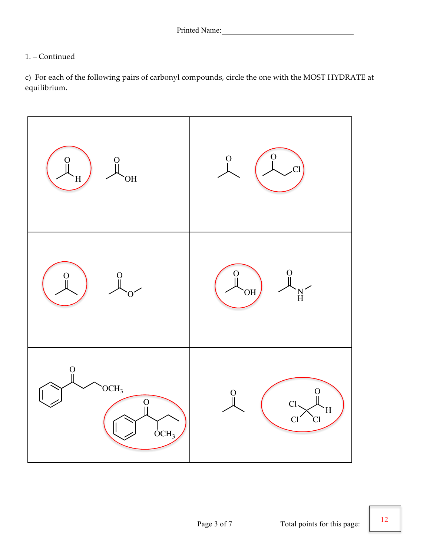## 1. – Continued

c) For each of the following pairs of carbonyl compounds, circle the one with the MOST HYDRATE at equilibrium.



12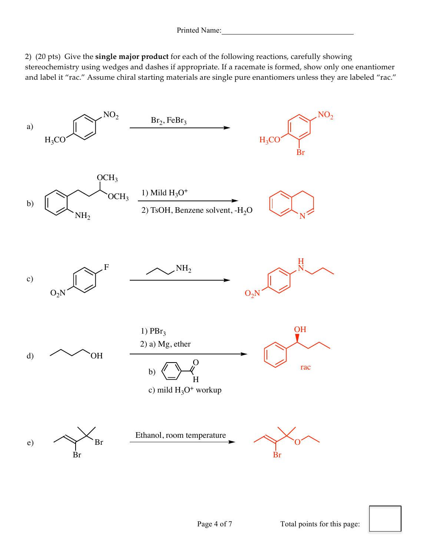2) (20 pts) Give the **single major product** for each of the following reactions, carefully showing stereochemistry using wedges and dashes if appropriate. If a racemate is formed, show only one enantiomer and label it "rac." Assume chiral starting materials are single pure enantiomers unless they are labeled "rac."

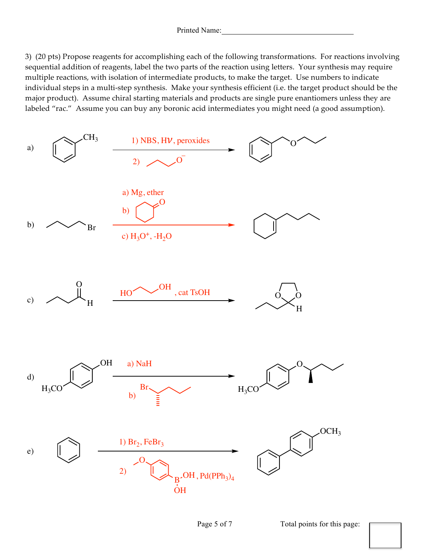3) (20 pts) Propose reagents for accomplishing each of the following transformations. For reactions involving sequential addition of reagents, label the two parts of the reaction using letters. Your synthesis may require multiple reactions, with isolation of intermediate products, to make the target. Use numbers to indicate individual steps in a multi-step synthesis. Make your synthesis efficient (i.e. the target product should be the major product). Assume chiral starting materials and products are single pure enantiomers unless they are labeled "rac." Assume you can buy any boronic acid intermediates you might need (a good assumption).

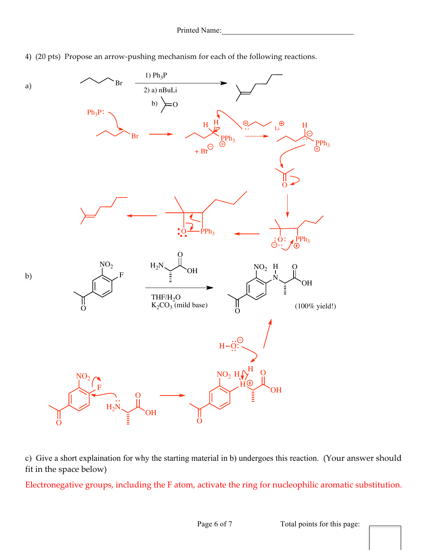

4) (20 pts) Propose an arrow-pushing mechanism for each of the following reactions.

c) Give a short explaination for why the starting material in b) undergoes this reaction. (Your answer should fit in the space below)

Electronegative groups, including the F atom, activate the ring for nucleophilic aromatic substitution.